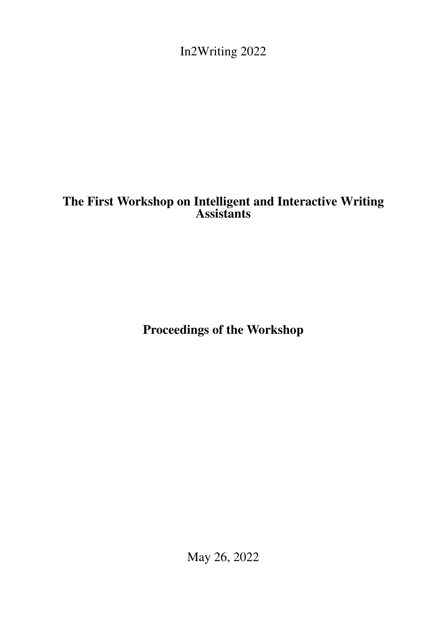<span id="page-0-0"></span>In2Writing 2022

# The First Workshop on Intelligent and Interactive Writing Assistants

Proceedings of the Workshop

May 26, 2022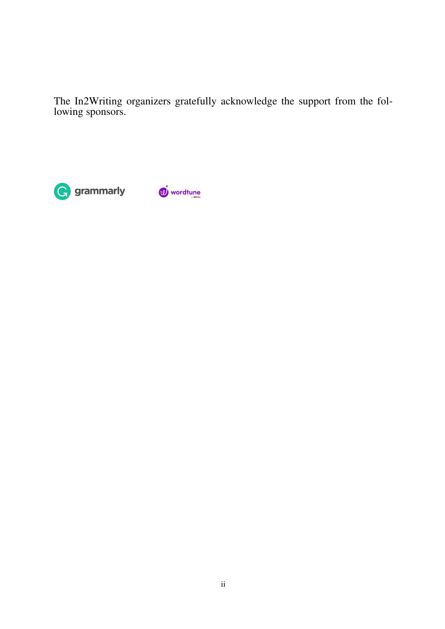The In2Writing organizers gratefully acknowledge the support from the following sponsors.



10<sup>j</sup> wordtune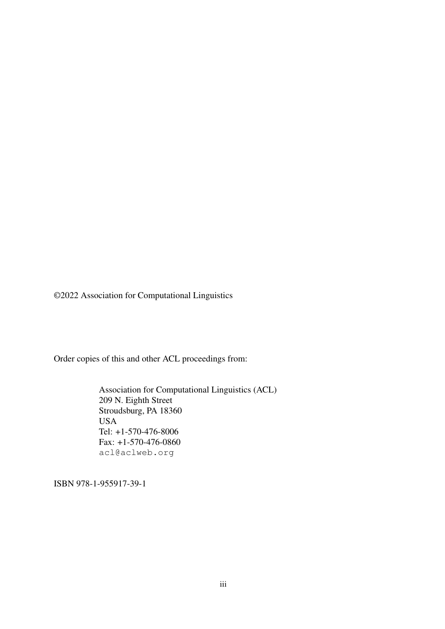©2022 Association for Computational Linguistics

Order copies of this and other ACL proceedings from:

Association for Computational Linguistics (ACL) 209 N. Eighth Street Stroudsburg, PA 18360 USA Tel: +1-570-476-8006 Fax: +1-570-476-0860 acl@aclweb.org

ISBN 978-1-955917-39-1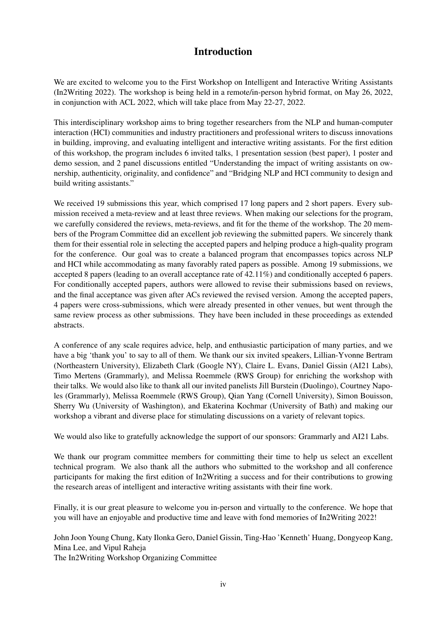## Introduction

We are excited to welcome you to the First Workshop on Intelligent and Interactive Writing Assistants (In2Writing 2022). The workshop is being held in a remote/in-person hybrid format, on May 26, 2022, in conjunction with ACL 2022, which will take place from May 22-27, 2022.

This interdisciplinary workshop aims to bring together researchers from the NLP and human-computer interaction (HCI) communities and industry practitioners and professional writers to discuss innovations in building, improving, and evaluating intelligent and interactive writing assistants. For the first edition of this workshop, the program includes 6 invited talks, 1 presentation session (best paper), 1 poster and demo session, and 2 panel discussions entitled "Understanding the impact of writing assistants on ownership, authenticity, originality, and confidence" and "Bridging NLP and HCI community to design and build writing assistants."

We received 19 submissions this year, which comprised 17 long papers and 2 short papers. Every submission received a meta-review and at least three reviews. When making our selections for the program, we carefully considered the reviews, meta-reviews, and fit for the theme of the workshop. The 20 members of the Program Committee did an excellent job reviewing the submitted papers. We sincerely thank them for their essential role in selecting the accepted papers and helping produce a high-quality program for the conference. Our goal was to create a balanced program that encompasses topics across NLP and HCI while accommodating as many favorably rated papers as possible. Among 19 submissions, we accepted 8 papers (leading to an overall acceptance rate of 42.11%) and conditionally accepted 6 papers. For conditionally accepted papers, authors were allowed to revise their submissions based on reviews, and the final acceptance was given after ACs reviewed the revised version. Among the accepted papers, 4 papers were cross-submissions, which were already presented in other venues, but went through the same review process as other submissions. They have been included in these proceedings as extended abstracts.

A conference of any scale requires advice, help, and enthusiastic participation of many parties, and we have a big 'thank you' to say to all of them. We thank our six invited speakers, Lillian-Yvonne Bertram (Northeastern University), Elizabeth Clark (Google NY), Claire L. Evans, Daniel Gissin (AI21 Labs), Timo Mertens (Grammarly), and Melissa Roemmele (RWS Group) for enriching the workshop with their talks. We would also like to thank all our invited panelists Jill Burstein (Duolingo), Courtney Napoles (Grammarly), Melissa Roemmele (RWS Group), Qian Yang (Cornell University), Simon Bouisson, Sherry Wu (University of Washington), and Ekaterina Kochmar (University of Bath) and making our workshop a vibrant and diverse place for stimulating discussions on a variety of relevant topics.

We would also like to gratefully acknowledge the support of our sponsors: Grammarly and AI21 Labs.

We thank our program committee members for committing their time to help us select an excellent technical program. We also thank all the authors who submitted to the workshop and all conference participants for making the first edition of In2Writing a success and for their contributions to growing the research areas of intelligent and interactive writing assistants with their fine work.

Finally, it is our great pleasure to welcome you in-person and virtually to the conference. We hope that you will have an enjoyable and productive time and leave with fond memories of In2Writing 2022!

John Joon Young Chung, Katy Ilonka Gero, Daniel Gissin, Ting-Hao 'Kenneth' Huang, Dongyeop Kang, Mina Lee, and Vipul Raheja

The In2Writing Workshop Organizing Committee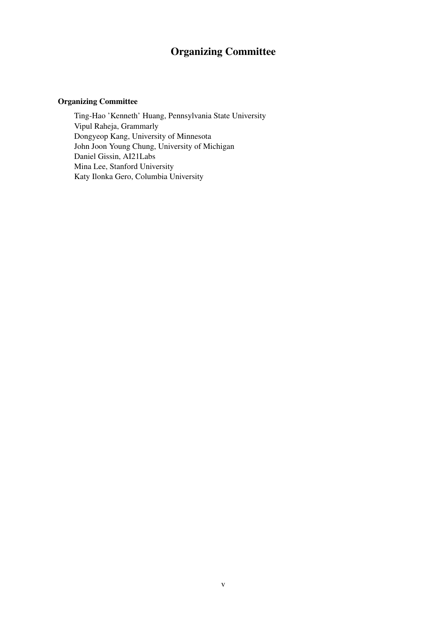## Organizing Committee

### Organizing Committee

Ting-Hao 'Kenneth' Huang, Pennsylvania State University Vipul Raheja, Grammarly Dongyeop Kang, University of Minnesota John Joon Young Chung, University of Michigan Daniel Gissin, AI21Labs Mina Lee, Stanford University Katy Ilonka Gero, Columbia University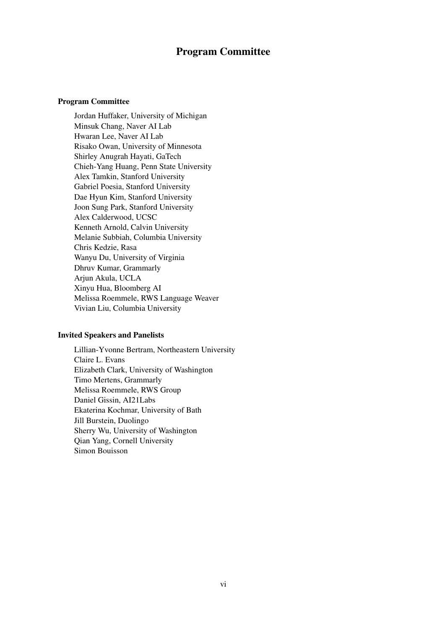## Program Committee

#### Program Committee

Jordan Huffaker, University of Michigan Minsuk Chang, Naver AI Lab Hwaran Lee, Naver AI Lab Risako Owan, University of Minnesota Shirley Anugrah Hayati, GaTech Chieh-Yang Huang, Penn State University Alex Tamkin, Stanford University Gabriel Poesia, Stanford University Dae Hyun Kim, Stanford University Joon Sung Park, Stanford University Alex Calderwood, UCSC Kenneth Arnold, Calvin University Melanie Subbiah, Columbia University Chris Kedzie, Rasa Wanyu Du, University of Virginia Dhruv Kumar, Grammarly Arjun Akula, UCLA Xinyu Hua, Bloomberg AI Melissa Roemmele, RWS Language Weaver Vivian Liu, Columbia University

#### Invited Speakers and Panelists

Lillian-Yvonne Bertram, Northeastern University Claire L. Evans Elizabeth Clark, University of Washington Timo Mertens, Grammarly Melissa Roemmele, RWS Group Daniel Gissin, AI21Labs Ekaterina Kochmar, University of Bath Jill Burstein, Duolingo Sherry Wu, University of Washington Qian Yang, Cornell University Simon Bouisson